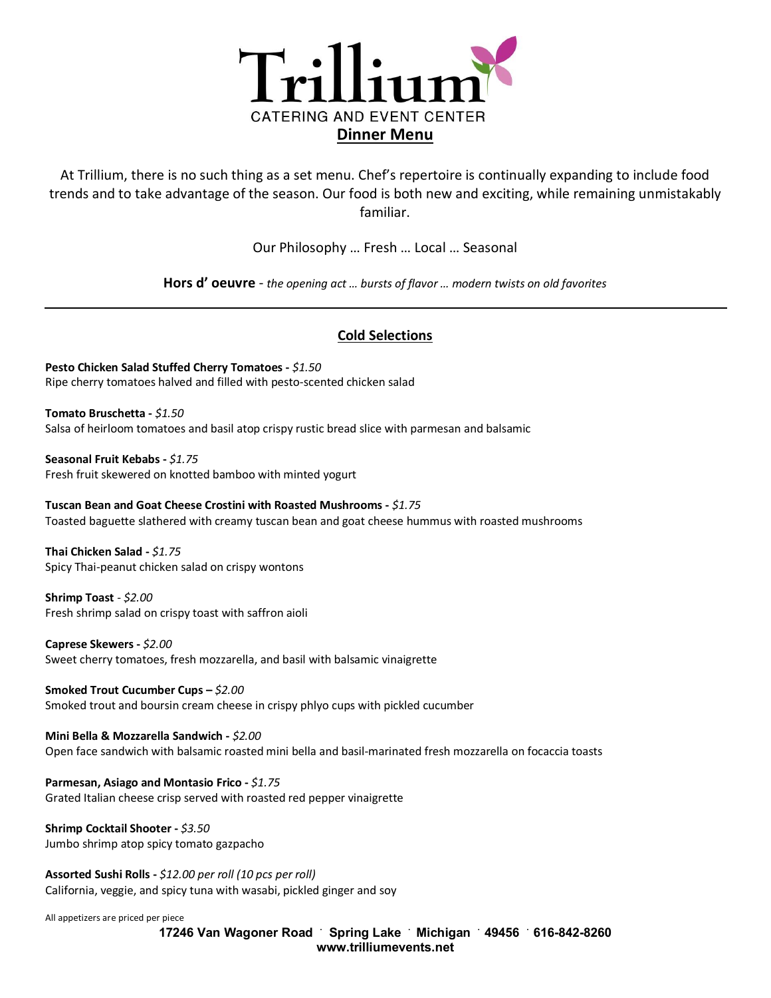

At Trillium, there is no such thing as a set menu. Chef's repertoire is continually expanding to include food trends and to take advantage of the season. Our food is both new and exciting, while remaining unmistakably familiar.

Our Philosophy … Fresh … Local … Seasonal

**Hors d' oeuvre** - *the opening act … bursts of flavor … modern twists on old favorites*

# **Cold Selections**

**Pesto Chicken Salad Stuffed Cherry Tomatoes -** *\$1.50* Ripe cherry tomatoes halved and filled with pesto-scented chicken salad

**Tomato Bruschetta -** *\$1.50* Salsa of heirloom tomatoes and basil atop crispy rustic bread slice with parmesan and balsamic

**Seasonal Fruit Kebabs -** *\$1.75*  Fresh fruit skewered on knotted bamboo with minted yogurt

**Tuscan Bean and Goat Cheese Crostini with Roasted Mushrooms -** *\$1.75* Toasted baguette slathered with creamy tuscan bean and goat cheese hummus with roasted mushrooms

**Thai Chicken Salad -** *\$1.75* Spicy Thai-peanut chicken salad on crispy wontons

**Shrimp Toast** - *\$2.00* Fresh shrimp salad on crispy toast with saffron aioli

**Caprese Skewers -** *\$2.00*  Sweet cherry tomatoes, fresh mozzarella, and basil with balsamic vinaigrette

**Smoked Trout Cucumber Cups –** *\$2.00*  Smoked trout and boursin cream cheese in crispy phlyo cups with pickled cucumber

**Mini Bella & Mozzarella Sandwich -** *\$2.00* Open face sandwich with balsamic roasted mini bella and basil-marinated fresh mozzarella on focaccia toasts

**Parmesan, Asiago and Montasio Frico -** *\$1.75* Grated Italian cheese crisp served with roasted red pepper vinaigrette

**Shrimp Cocktail Shooter -** *\$3.50*  Jumbo shrimp atop spicy tomato gazpacho

**Assorted Sushi Rolls -** *\$12.00 per roll (10 pcs per roll)* California, veggie, and spicy tuna with wasabi, pickled ginger and soy

All appetizers are priced per piece

**17246 Van Wagoner Road . Spring Lake . Michigan . 49456 . 616-842-8260 www.trilliumevents.net**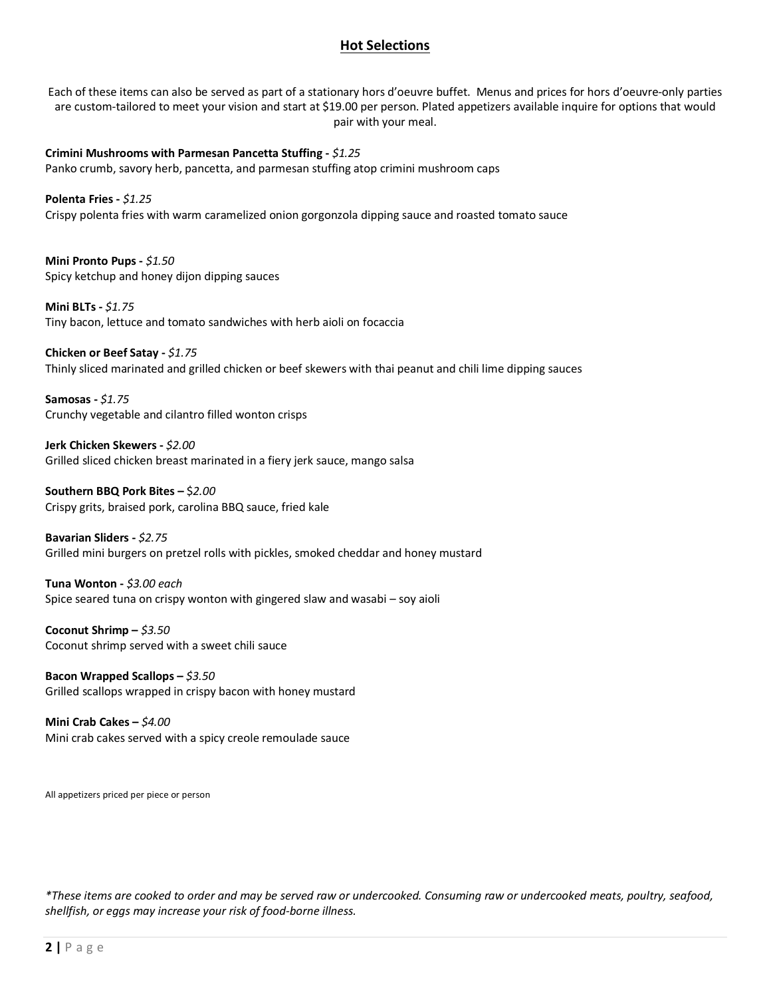# **Hot Selections**

Each of these items can also be served as part of a stationary hors d'oeuvre buffet. Menus and prices for hors d'oeuvre-only parties are custom-tailored to meet your vision and start at \$19.00 per person. Plated appetizers available inquire for options that would pair with your meal.

**Crimini Mushrooms with Parmesan Pancetta Stuffing -** *\$1.25*  Panko crumb, savory herb, pancetta, and parmesan stuffing atop crimini mushroom caps

**Polenta Fries -** *\$1.25* Crispy polenta fries with warm caramelized onion gorgonzola dipping sauce and roasted tomato sauce

**Mini Pronto Pups -** *\$1.50* Spicy ketchup and honey dijon dipping sauces

**Mini BLTs -** *\$1.75*  Tiny bacon, lettuce and tomato sandwiches with herb aioli on focaccia

**Chicken or Beef Satay -** *\$1.75* Thinly sliced marinated and grilled chicken or beef skewers with thai peanut and chili lime dipping sauces

**Samosas -** *\$1.75* Crunchy vegetable and cilantro filled wonton crisps

**Jerk Chicken Skewers -** *\$2.00*  Grilled sliced chicken breast marinated in a fiery jerk sauce, mango salsa

**Southern BBQ Pork Bites –** \$*2.00* Crispy grits, braised pork, carolina BBQ sauce, fried kale

**Bavarian Sliders -** *\$2.75* Grilled mini burgers on pretzel rolls with pickles, smoked cheddar and honey mustard

**Tuna Wonton -** *\$3.00 each* Spice seared tuna on crispy wonton with gingered slaw and wasabi – soy aioli

**Coconut Shrimp –** *\$3.50* Coconut shrimp served with a sweet chili sauce

**Bacon Wrapped Scallops –** *\$3.50* Grilled scallops wrapped in crispy bacon with honey mustard

**Mini Crab Cakes –** *\$4.00* Mini crab cakes served with a spicy creole remoulade sauce

All appetizers priced per piece or person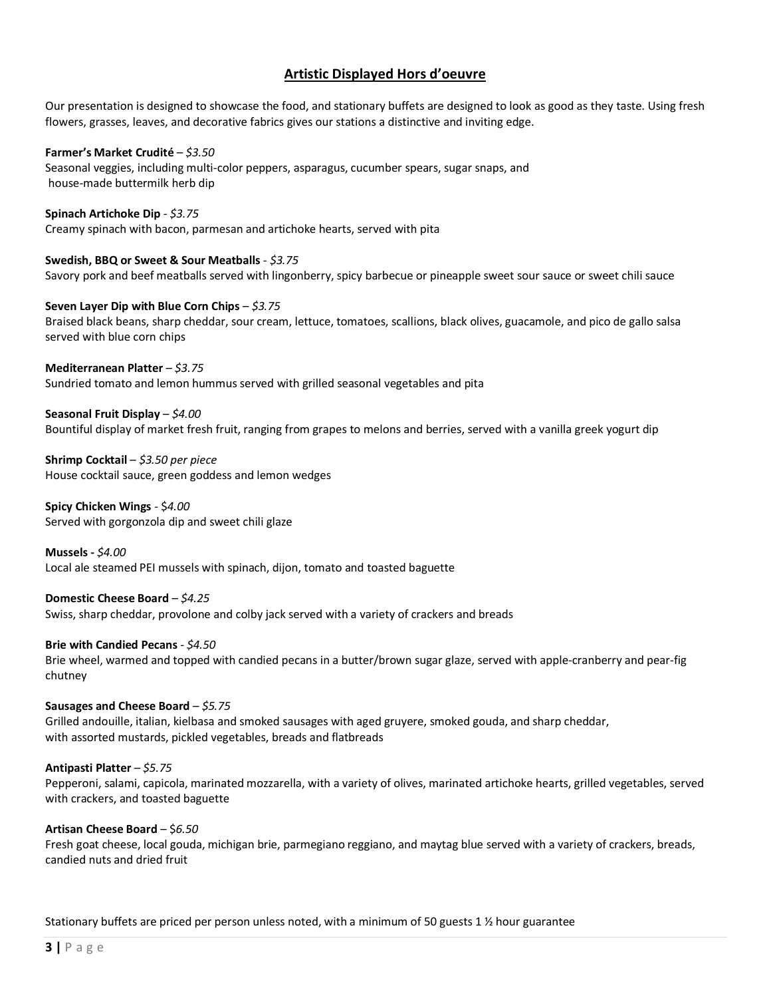# **Artistic Displayed Hors d'oeuvre**

Our presentation is designed to showcase the food, and stationary buffets are designed to look as good as they taste. Using fresh flowers, grasses, leaves, and decorative fabrics gives our stations a distinctive and inviting edge.

#### **Farmer's Market Crudité** – *\$3.50*

Seasonal veggies, including multi-color peppers, asparagus, cucumber spears, sugar snaps, and house-made buttermilk herb dip

#### **Spinach Artichoke Dip** - *\$3.75*

Creamy spinach with bacon, parmesan and artichoke hearts, served with pita

#### **Swedish, BBQ or Sweet & Sour Meatballs** - *\$3.75*

Savory pork and beef meatballs served with lingonberry, spicy barbecue or pineapple sweet sour sauce or sweet chili sauce

#### **Seven Layer Dip with Blue Corn Chips** – *\$3.75* Braised black beans, sharp cheddar, sour cream, lettuce, tomatoes, scallions, black olives, guacamole, and pico de gallo salsa served with blue corn chips

### **Mediterranean Platter** – *\$3.75*

Sundried tomato and lemon hummus served with grilled seasonal vegetables and pita

### **Seasonal Fruit Display** – *\$4.00*

Bountiful display of market fresh fruit, ranging from grapes to melons and berries, served with a vanilla greek yogurt dip

**Shrimp Cocktail** – *\$3.50 per piece* House cocktail sauce, green goddess and lemon wedges

#### **Spicy Chicken Wings** - \$*4.00* Served with gorgonzola dip and sweet chili glaze

**Mussels -** *\$4.00* Local ale steamed PEI mussels with spinach, dijon, tomato and toasted baguette

### **Domestic Cheese Board** – *\$4.25*

Swiss, sharp cheddar, provolone and colby jack served with a variety of crackers and breads

### **Brie with Candied Pecans** *- \$4.50*

Brie wheel, warmed and topped with candied pecans in a butter/brown sugar glaze, served with apple-cranberry and pear-fig chutney

### **Sausages and Cheese Board** – *\$5.75*

Grilled andouille, italian, kielbasa and smoked sausages with aged gruyere, smoked gouda, and sharp cheddar, with assorted mustards, pickled vegetables, breads and flatbreads

### **Antipasti Platter** – *\$5.75*

Pepperoni, salami, capicola, marinated mozzarella, with a variety of olives, marinated artichoke hearts, grilled vegetables, served with crackers, and toasted baguette

#### **Artisan Cheese Board** – \$*6.50*

Fresh goat cheese, local gouda, michigan brie, parmegiano reggiano, and maytag blue served with a variety of crackers, breads, candied nuts and dried fruit

### Stationary buffets are priced per person unless noted, with a minimum of 50 guests 1 ½ hour guarantee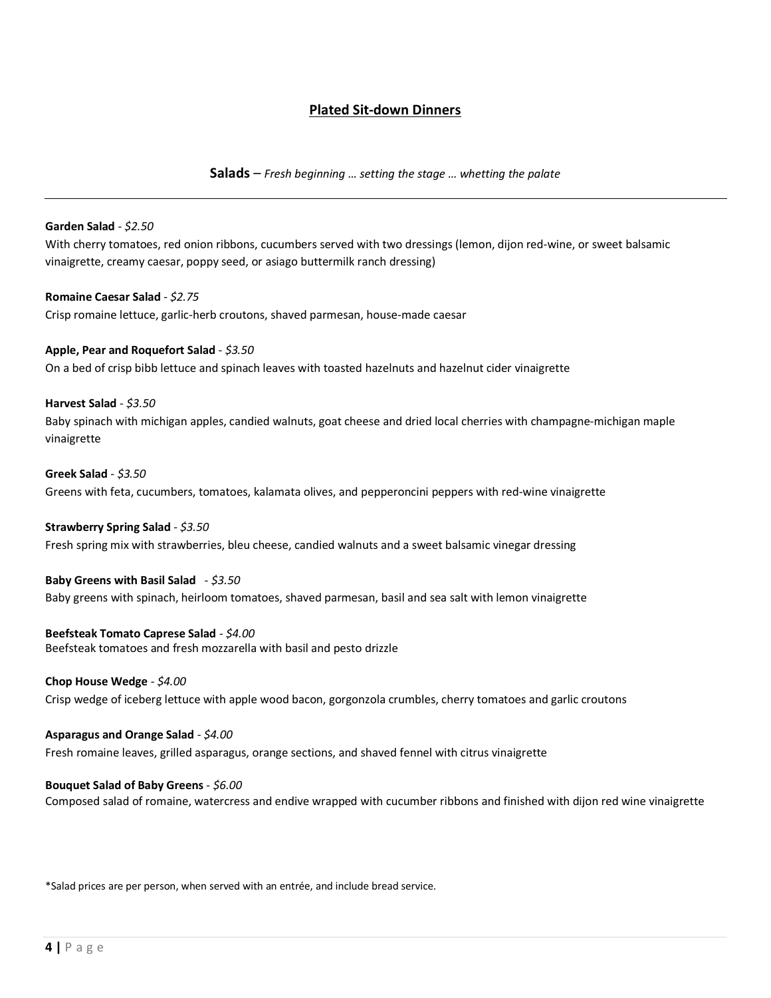# **Plated Sit-down Dinners**

**Salads** – *Fresh beginning … setting the stage … whetting the palate*

#### **Garden Salad** - *\$2.50*

With cherry tomatoes, red onion ribbons, cucumbers served with two dressings (lemon, dijon red-wine, or sweet balsamic vinaigrette, creamy caesar, poppy seed, or asiago buttermilk ranch dressing)

**Romaine Caesar Salad** - *\$2.75* Crisp romaine lettuce, garlic-herb croutons, shaved parmesan, house-made caesar

**Apple, Pear and Roquefort Salad** - *\$3.50* On a bed of crisp bibb lettuce and spinach leaves with toasted hazelnuts and hazelnut cider vinaigrette

**Harvest Salad** - *\$3.50* Baby spinach with michigan apples, candied walnuts, goat cheese and dried local cherries with champagne-michigan maple vinaigrette

**Greek Salad** - *\$3.50* Greens with feta, cucumbers, tomatoes, kalamata olives, and pepperoncini peppers with red-wine vinaigrette

**Strawberry Spring Salad** - *\$3.50*

Fresh spring mix with strawberries, bleu cheese, candied walnuts and a sweet balsamic vinegar dressing

### **Baby Greens with Basil Salad** - *\$3.50*

Baby greens with spinach, heirloom tomatoes, shaved parmesan, basil and sea salt with lemon vinaigrette

#### **Beefsteak Tomato Caprese Salad** - *\$4.00*

Beefsteak tomatoes and fresh mozzarella with basil and pesto drizzle

#### **Chop House Wedge** - *\$4.00*

Crisp wedge of iceberg lettuce with apple wood bacon, gorgonzola crumbles, cherry tomatoes and garlic croutons

**Asparagus and Orange Salad** - *\$4.00*

Fresh romaine leaves, grilled asparagus, orange sections, and shaved fennel with citrus vinaigrette

#### **Bouquet Salad of Baby Greens** - *\$6.00*

Composed salad of romaine, watercress and endive wrapped with cucumber ribbons and finished with dijon red wine vinaigrette

\*Salad prices are per person, when served with an entrée, and include bread service.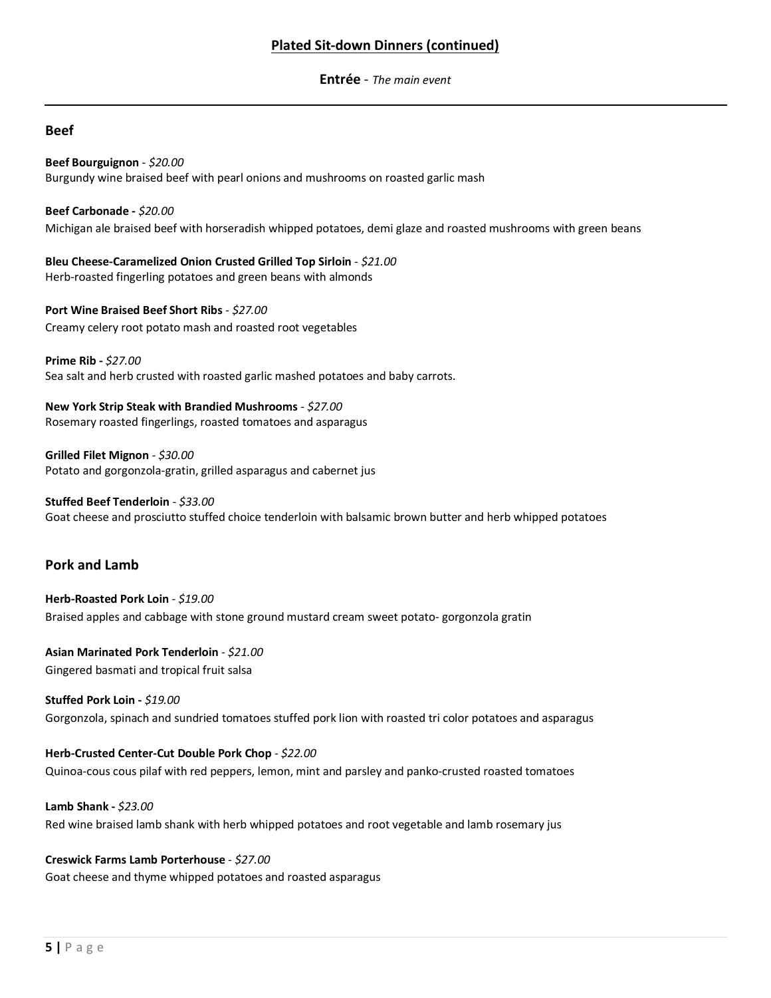# **Plated Sit-down Dinners (continued)**

**Entrée** - *The main event*

# **Beef**

**Beef Bourguignon** - *\$20.00* Burgundy wine braised beef with pearl onions and mushrooms on roasted garlic mash

**Beef Carbonade -** *\$20.00* Michigan ale braised beef with horseradish whipped potatoes, demi glaze and roasted mushrooms with green beans

**Bleu Cheese-Caramelized Onion Crusted Grilled Top Sirloin** - *\$21.00* Herb-roasted fingerling potatoes and green beans with almonds

**Port Wine Braised Beef Short Ribs** *- \$27.00* Creamy celery root potato mash and roasted root vegetables

**Prime Rib -** *\$27.00* Sea salt and herb crusted with roasted garlic mashed potatoes and baby carrots.

**New York Strip Steak with Brandied Mushrooms** - *\$27.00* Rosemary roasted fingerlings, roasted tomatoes and asparagus

**Grilled Filet Mignon** - *\$30.00* Potato and gorgonzola-gratin, grilled asparagus and cabernet jus

**Stuffed Beef Tenderloin** - *\$33.00* Goat cheese and prosciutto stuffed choice tenderloin with balsamic brown butter and herb whipped potatoes

# **Pork and Lamb**

**Herb-Roasted Pork Loin** - *\$19.00* Braised apples and cabbage with stone ground mustard cream sweet potato- gorgonzola gratin

**Asian Marinated Pork Tenderloin** - *\$21.00* Gingered basmati and tropical fruit salsa

**Stuffed Pork Loin -** *\$19.00* Gorgonzola, spinach and sundried tomatoes stuffed pork lion with roasted tri color potatoes and asparagus

**Herb-Crusted Center-Cut Double Pork Chop** - *\$22.00* Quinoa-cous cous pilaf with red peppers, lemon, mint and parsley and panko-crusted roasted tomatoes

**Lamb Shank -** *\$23.00* Red wine braised lamb shank with herb whipped potatoes and root vegetable and lamb rosemary jus

**Creswick Farms Lamb Porterhouse** - *\$27.00* Goat cheese and thyme whipped potatoes and roasted asparagus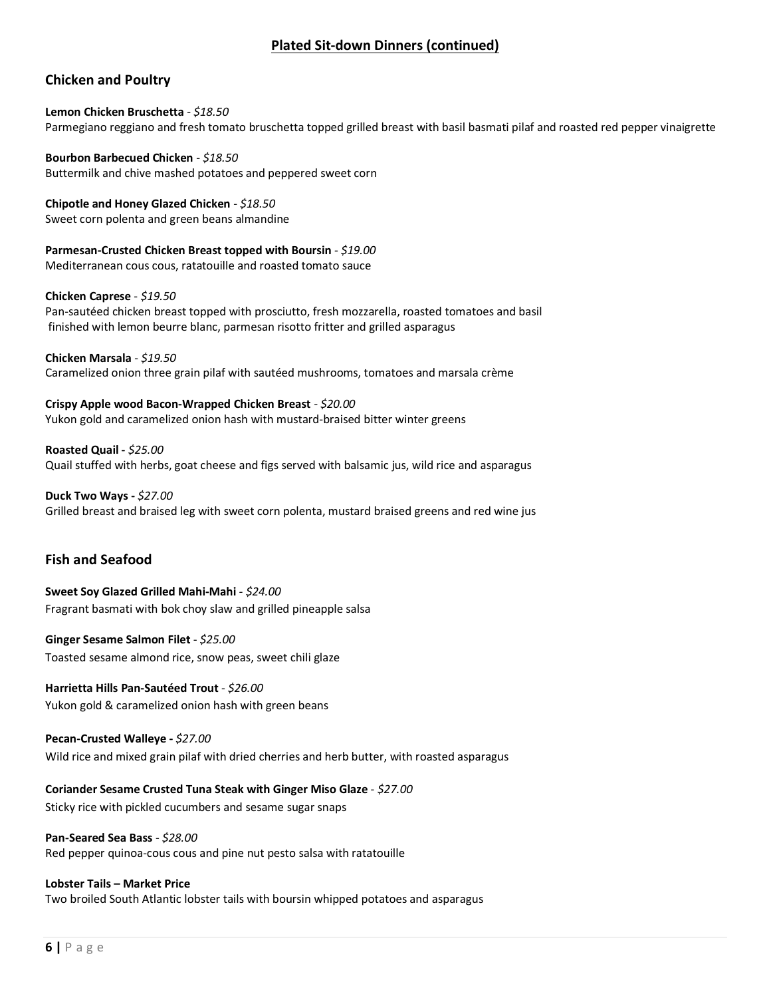# **Plated Sit-down Dinners (continued)**

# **Chicken and Poultry**

**Lemon Chicken Bruschetta** - *\$18.50* Parmegiano reggiano and fresh tomato bruschetta topped grilled breast with basil basmati pilaf and roasted red pepper vinaigrette

**Bourbon Barbecued Chicken** - *\$18.50* Buttermilk and chive mashed potatoes and peppered sweet corn

**Chipotle and Honey Glazed Chicken** - *\$18.50* Sweet corn polenta and green beans almandine

**Parmesan-Crusted Chicken Breast topped with Boursin** - *\$19.00* Mediterranean cous cous, ratatouille and roasted tomato sauce

**Chicken Caprese** - *\$19.50*

Pan-sautéed chicken breast topped with prosciutto, fresh mozzarella, roasted tomatoes and basil finished with lemon beurre blanc, parmesan risotto fritter and grilled asparagus

**Chicken Marsala** - *\$19.50*

Caramelized onion three grain pilaf with sautéed mushrooms, tomatoes and marsala crème

**Crispy Apple wood Bacon-Wrapped Chicken Breast** *- \$20.00* Yukon gold and caramelized onion hash with mustard-braised bitter winter greens

**Roasted Quail -** *\$25.00* Quail stuffed with herbs, goat cheese and figs served with balsamic jus, wild rice and asparagus

**Duck Two Ways -** *\$27.00* Grilled breast and braised leg with sweet corn polenta, mustard braised greens and red wine jus

# **Fish and Seafood**

**Sweet Soy Glazed Grilled Mahi-Mahi** *- \$24.00* Fragrant basmati with bok choy slaw and grilled pineapple salsa

**Ginger Sesame Salmon Filet** - *\$25.00* Toasted sesame almond rice, snow peas, sweet chili glaze

**Harrietta Hills Pan-Sautéed Trout** - *\$26.00* Yukon gold & caramelized onion hash with green beans

**Pecan-Crusted Walleye -** *\$27.00* Wild rice and mixed grain pilaf with dried cherries and herb butter, with roasted asparagus

**Coriander Sesame Crusted Tuna Steak with Ginger Miso Glaze** - *\$27.00*

Sticky rice with pickled cucumbers and sesame sugar snaps

**Pan-Seared Sea Bass** - *\$28.00*

Red pepper quinoa-cous cous and pine nut pesto salsa with ratatouille

### **Lobster Tails – Market Price**

Two broiled South Atlantic lobster tails with boursin whipped potatoes and asparagus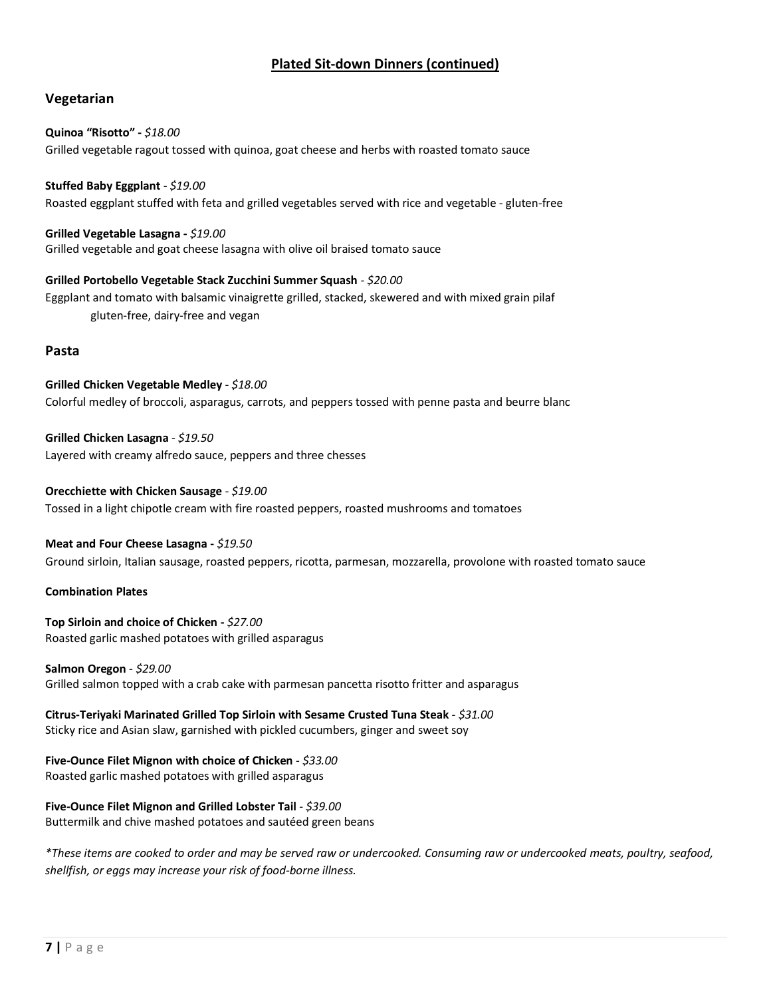# **Plated Sit-down Dinners (continued)**

# **Vegetarian**

# **Quinoa "Risotto" -** *\$18.00* Grilled vegetable ragout tossed with quinoa, goat cheese and herbs with roasted tomato sauce

**Stuffed Baby Eggplant** - *\$19.00* Roasted eggplant stuffed with feta and grilled vegetables served with rice and vegetable - gluten-free

**Grilled Vegetable Lasagna -** *\$19.00* Grilled vegetable and goat cheese lasagna with olive oil braised tomato sauce

**Grilled Portobello Vegetable Stack Zucchini Summer Squash** *- \$20.00* Eggplant and tomato with balsamic vinaigrette grilled, stacked, skewered and with mixed grain pilaf gluten-free, dairy-free and vegan

### **Pasta**

**Grilled Chicken Vegetable Medley** - *\$18.00* Colorful medley of broccoli, asparagus, carrots, and peppers tossed with penne pasta and beurre blanc

**Grilled Chicken Lasagna** - *\$19.50* Layered with creamy alfredo sauce, peppers and three chesses

**Orecchiette with Chicken Sausage** *- \$19.00* Tossed in a light chipotle cream with fire roasted peppers, roasted mushrooms and tomatoes

**Meat and Four Cheese Lasagna -** *\$19.50*

Ground sirloin, Italian sausage, roasted peppers, ricotta, parmesan, mozzarella, provolone with roasted tomato sauce

### **Combination Plates**

**Top Sirloin and choice of Chicken -** *\$27.00* Roasted garlic mashed potatoes with grilled asparagus

**Salmon Oregon** - *\$29.00* Grilled salmon topped with a crab cake with parmesan pancetta risotto fritter and asparagus

**Citrus-Teriyaki Marinated Grilled Top Sirloin with Sesame Crusted Tuna Steak** *- \$31.00* Sticky rice and Asian slaw, garnished with pickled cucumbers, ginger and sweet soy

**Five-Ounce Filet Mignon with choice of Chicken** - *\$33.00* Roasted garlic mashed potatoes with grilled asparagus

# **Five-Ounce Filet Mignon and Grilled Lobster Tail** - *\$39.00*

Buttermilk and chive mashed potatoes and sautéed green beans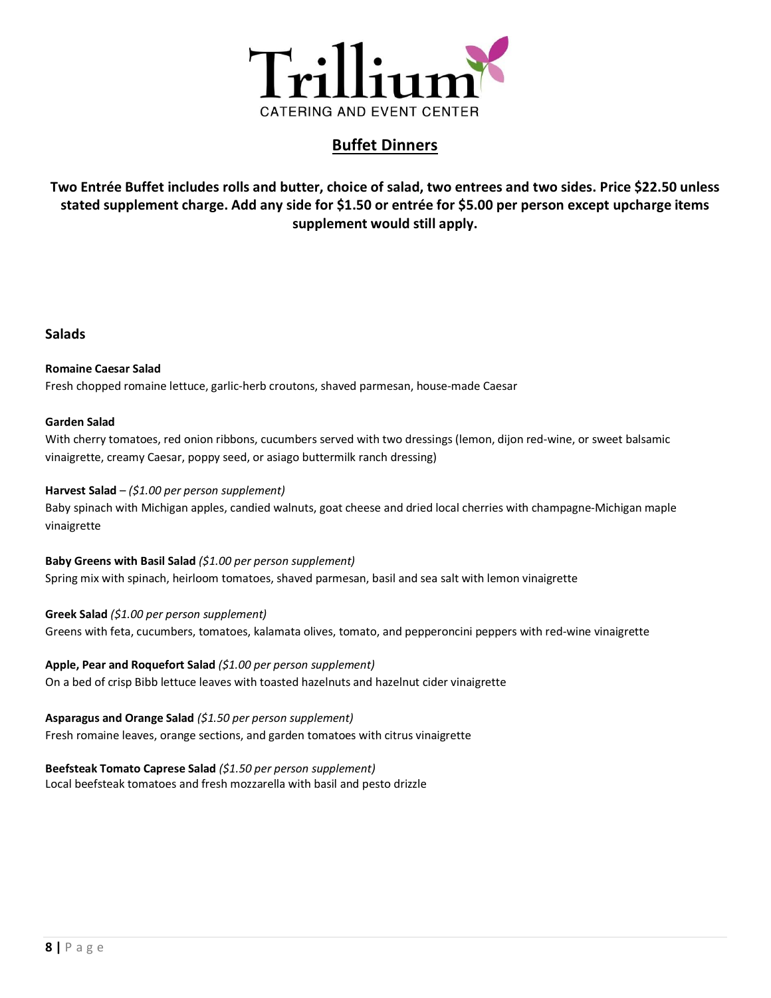

# **Buffet Dinners**

**Two Entrée Buffet includes rolls and butter, choice of salad, two entrees and two sides. Price \$22.50 unless stated supplement charge. Add any side for \$1.50 or entrée for \$5.00 per person except upcharge items supplement would still apply.**

# **Salads**

#### **Romaine Caesar Salad**

Fresh chopped romaine lettuce, garlic-herb croutons, shaved parmesan, house-made Caesar

### **Garden Salad**

With cherry tomatoes, red onion ribbons, cucumbers served with two dressings (lemon, dijon red-wine, or sweet balsamic vinaigrette, creamy Caesar, poppy seed, or asiago buttermilk ranch dressing)

### **Harvest Salad** – *(\$1.00 per person supplement)*

Baby spinach with Michigan apples, candied walnuts, goat cheese and dried local cherries with champagne-Michigan maple vinaigrette

#### **Baby Greens with Basil Salad** *(\$1.00 per person supplement)*

Spring mix with spinach, heirloom tomatoes, shaved parmesan, basil and sea salt with lemon vinaigrette

### **Greek Salad** *(\$1.00 per person supplement)*

Greens with feta, cucumbers, tomatoes, kalamata olives, tomato, and pepperoncini peppers with red-wine vinaigrette

### **Apple, Pear and Roquefort Salad** *(\$1.00 per person supplement)*

On a bed of crisp Bibb lettuce leaves with toasted hazelnuts and hazelnut cider vinaigrette

### **Asparagus and Orange Salad** *(\$1.50 per person supplement)*

Fresh romaine leaves, orange sections, and garden tomatoes with citrus vinaigrette

# **Beefsteak Tomato Caprese Salad** *(\$1.50 per person supplement)*

Local beefsteak tomatoes and fresh mozzarella with basil and pesto drizzle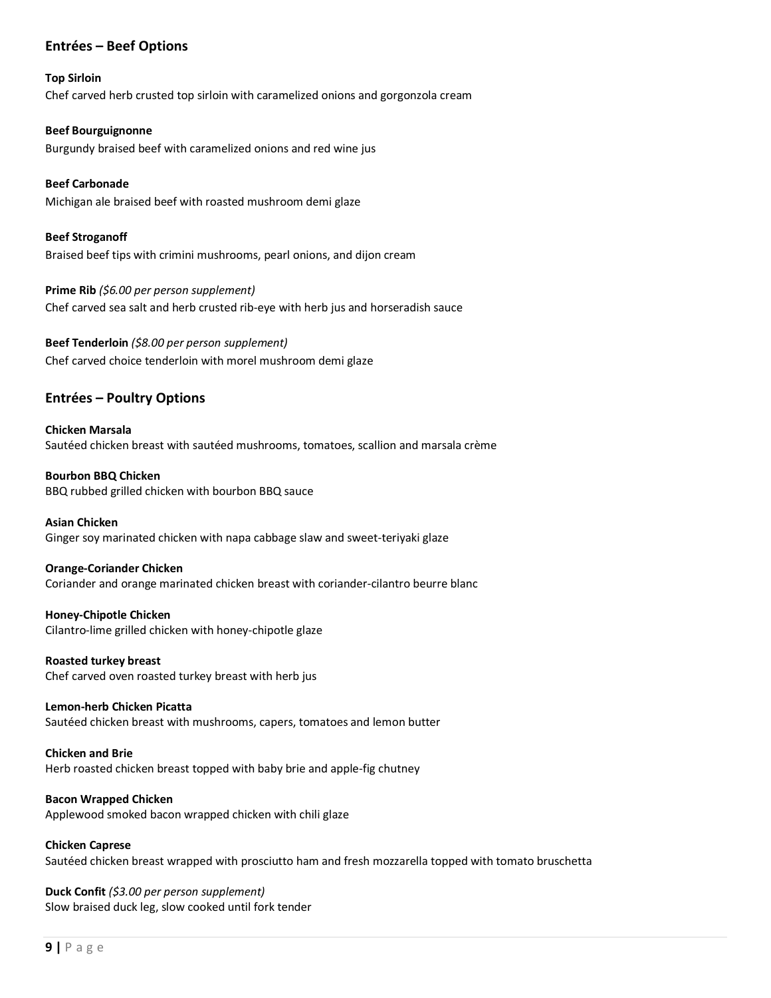# **Entrées – Beef Options**

#### **Top Sirloin**

Chef carved herb crusted top sirloin with caramelized onions and gorgonzola cream

#### **Beef Bourguignonne**

Burgundy braised beef with caramelized onions and red wine jus

### **Beef Carbonade**

Michigan ale braised beef with roasted mushroom demi glaze

# **Beef Stroganoff** Braised beef tips with crimini mushrooms, pearl onions, and dijon cream

# **Prime Rib** *(\$6.00 per person supplement)* Chef carved sea salt and herb crusted rib-eye with herb jus and horseradish sauce

# **Beef Tenderloin** *(\$8.00 per person supplement)* Chef carved choice tenderloin with morel mushroom demi glaze

# **Entrées – Poultry Options**

### **Chicken Marsala** Sautéed chicken breast with sautéed mushrooms, tomatoes, scallion and marsala crème

**Bourbon BBQ Chicken** BBQ rubbed grilled chicken with bourbon BBQ sauce

### **Asian Chicken**

Ginger soy marinated chicken with napa cabbage slaw and sweet-teriyaki glaze

### **Orange-Coriander Chicken**

Coriander and orange marinated chicken breast with coriander-cilantro beurre blanc

#### **Honey-Chipotle Chicken** Cilantro-lime grilled chicken with honey-chipotle glaze

**Roasted turkey breast** Chef carved oven roasted turkey breast with herb jus

### **Lemon-herb Chicken Picatta**

Sautéed chicken breast with mushrooms, capers, tomatoes and lemon butter

# **Chicken and Brie**

Herb roasted chicken breast topped with baby brie and apple-fig chutney

# **Bacon Wrapped Chicken**

Applewood smoked bacon wrapped chicken with chili glaze

# **Chicken Caprese**

Sautéed chicken breast wrapped with prosciutto ham and fresh mozzarella topped with tomato bruschetta

# **Duck Confit** *(\$3.00 per person supplement)* Slow braised duck leg, slow cooked until fork tender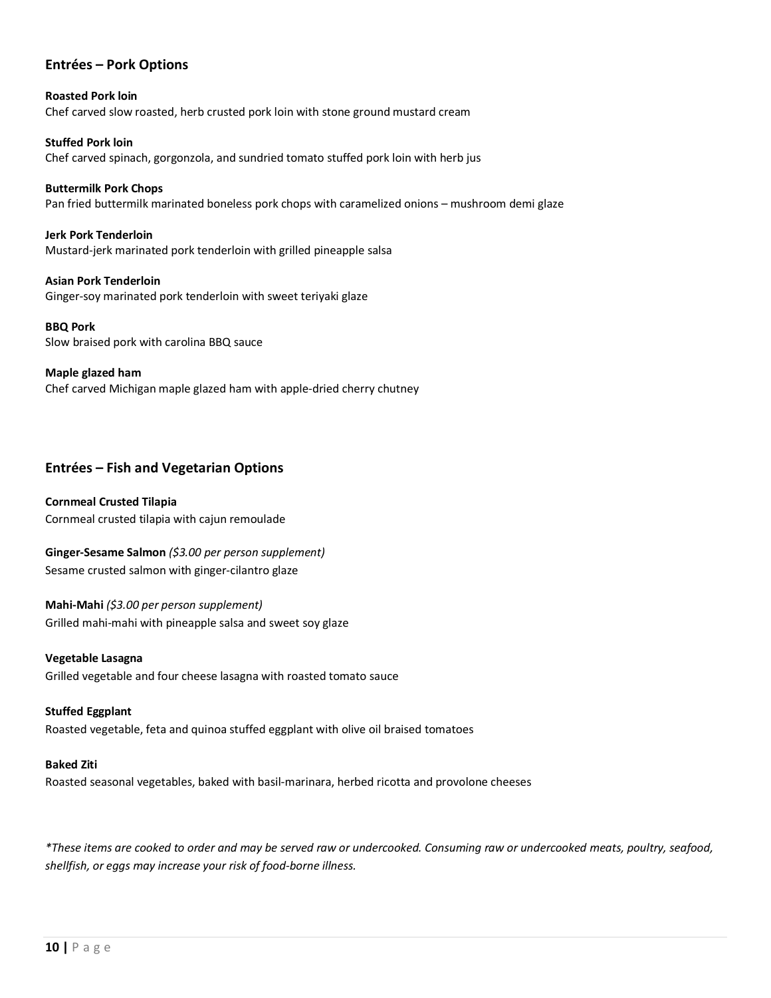# **Entrées – Pork Options**

**Roasted Pork loin** Chef carved slow roasted, herb crusted pork loin with stone ground mustard cream

**Stuffed Pork loin** Chef carved spinach, gorgonzola, and sundried tomato stuffed pork loin with herb jus

**Buttermilk Pork Chops** Pan fried buttermilk marinated boneless pork chops with caramelized onions – mushroom demi glaze

**Jerk Pork Tenderloin** Mustard-jerk marinated pork tenderloin with grilled pineapple salsa

**Asian Pork Tenderloin** Ginger-soy marinated pork tenderloin with sweet teriyaki glaze

**BBQ Pork** Slow braised pork with carolina BBQ sauce

**Maple glazed ham**

Chef carved Michigan maple glazed ham with apple-dried cherry chutney

# **Entrées – Fish and Vegetarian Options**

**Cornmeal Crusted Tilapia** Cornmeal crusted tilapia with cajun remoulade

**Ginger-Sesame Salmon** *(\$3.00 per person supplement)* Sesame crusted salmon with ginger-cilantro glaze

**Mahi-Mahi** *(\$3.00 per person supplement)* Grilled mahi-mahi with pineapple salsa and sweet soy glaze

**Vegetable Lasagna** Grilled vegetable and four cheese lasagna with roasted tomato sauce

**Stuffed Eggplant** Roasted vegetable, feta and quinoa stuffed eggplant with olive oil braised tomatoes

**Baked Ziti**

Roasted seasonal vegetables, baked with basil-marinara, herbed ricotta and provolone cheeses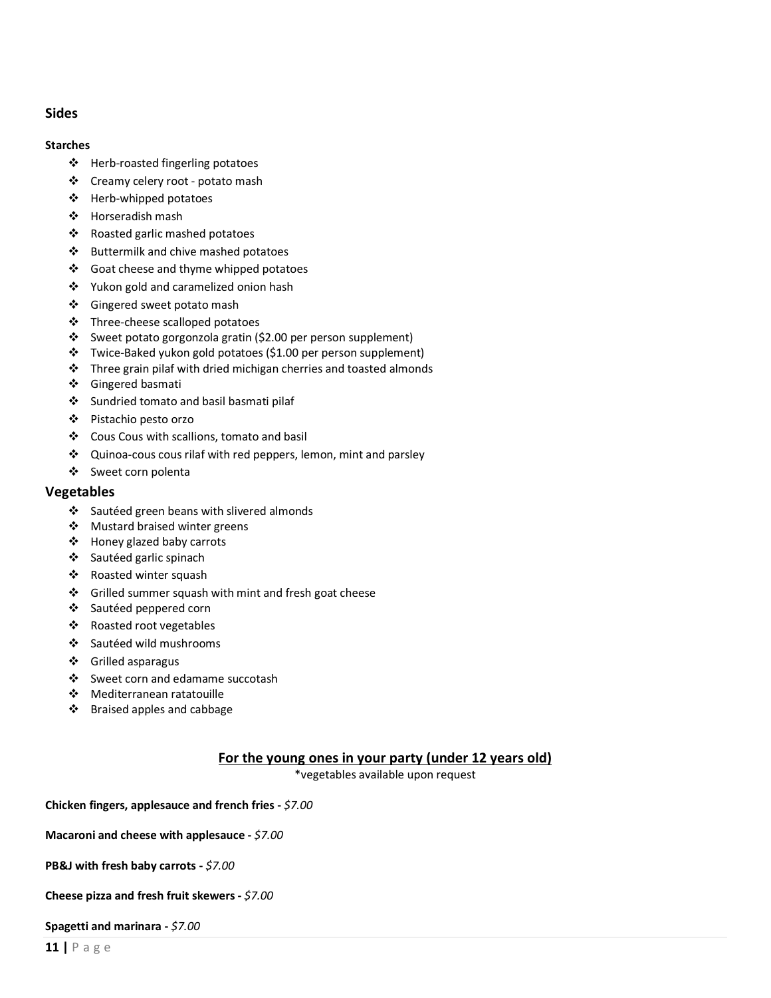# **Sides**

#### **Starches**

- ❖ Herb-roasted fingerling potatoes
- ❖ Creamy celery root potato mash
- ❖ Herb-whipped potatoes
- ❖ Horseradish mash
- ❖ Roasted garlic mashed potatoes
- $\div$  Buttermilk and chive mashed potatoes
- ❖ Goat cheese and thyme whipped potatoes
- ❖ Yukon gold and caramelized onion hash
- ❖ Gingered sweet potato mash
- $\div$  Three-cheese scalloped potatoes
- v Sweet potato gorgonzola gratin (\$2.00 per person supplement)
- \* Twice-Baked yukon gold potatoes (\$1.00 per person supplement)
- $\cdot \cdot$  Three grain pilaf with dried michigan cherries and toasted almonds
- ❖ Gingered basmati
- Sundried tomato and basil basmati pilaf
- v Pistachio pesto orzo
- ❖ Cous Cous with scallions, tomato and basil
- $\triangleleft$  Quinoa-cous cous rilaf with red peppers, lemon, mint and parsley
- v Sweet corn polenta

# **Vegetables**

- $\div$  Sautéed green beans with slivered almonds
- ❖ Mustard braised winter greens
- ❖ Honey glazed baby carrots
- ❖ Sautéed garlic spinach
- ❖ Roasted winter squash
- $\div$  Grilled summer squash with mint and fresh goat cheese
- ❖ Sautéed peppered corn
- ❖ Roasted root vegetables
- ❖ Sautéed wild mushrooms
- v Grilled asparagus
- ❖ Sweet corn and edamame succotash
- ◆ Mediterranean ratatouille
- ❖ Braised apples and cabbage

# **For the young ones in your party (under 12 years old)**

\*vegetables available upon request

**Chicken fingers, applesauce and french fries -** *\$7.00*

**Macaroni and cheese with applesauce -** *\$7.00*

**PB&J with fresh baby carrots -** *\$7.00*

**Cheese pizza and fresh fruit skewers -** *\$7.00*

#### **Spagetti and marinara -** *\$7.00*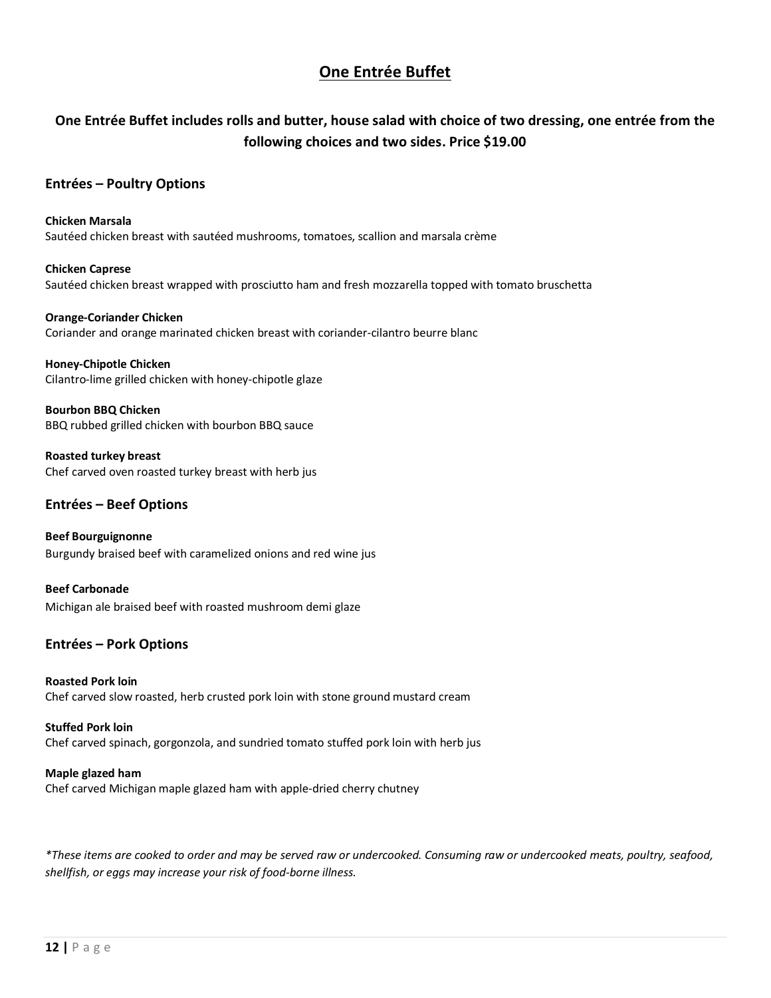# **One Entrée Buffet**

# **One Entrée Buffet includes rolls and butter, house salad with choice of two dressing, one entrée from the following choices and two sides. Price \$19.00**

# **Entrées – Poultry Options**

# **Chicken Marsala** Sautéed chicken breast with sautéed mushrooms, tomatoes, scallion and marsala crème

# **Chicken Caprese** Sautéed chicken breast wrapped with prosciutto ham and fresh mozzarella topped with tomato bruschetta

**Orange-Coriander Chicken** Coriander and orange marinated chicken breast with coriander-cilantro beurre blanc

**Honey-Chipotle Chicken** Cilantro-lime grilled chicken with honey-chipotle glaze

**Bourbon BBQ Chicken** BBQ rubbed grilled chicken with bourbon BBQ sauce

**Roasted turkey breast** Chef carved oven roasted turkey breast with herb jus

# **Entrées – Beef Options**

**Beef Bourguignonne** Burgundy braised beef with caramelized onions and red wine jus

**Beef Carbonade** Michigan ale braised beef with roasted mushroom demi glaze

# **Entrées – Pork Options**

**Roasted Pork loin** Chef carved slow roasted, herb crusted pork loin with stone ground mustard cream

**Stuffed Pork loin** Chef carved spinach, gorgonzola, and sundried tomato stuffed pork loin with herb jus

# **Maple glazed ham**

Chef carved Michigan maple glazed ham with apple-dried cherry chutney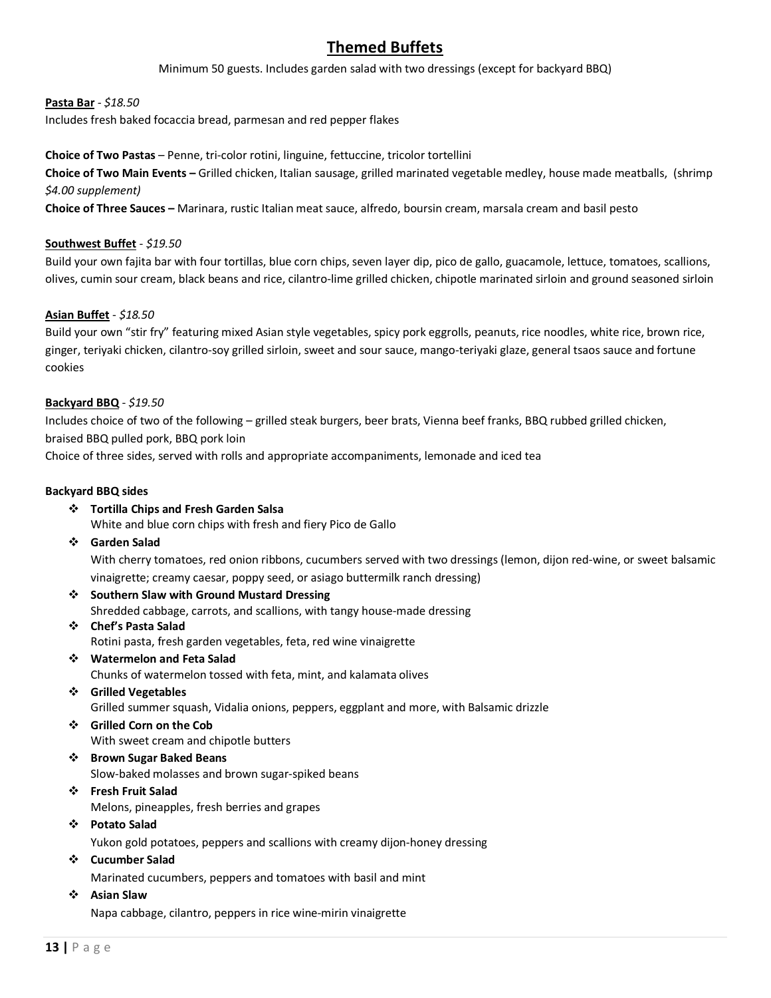# **Themed Buffets**

Minimum 50 guests. Includes garden salad with two dressings (except for backyard BBQ)

# **Pasta Bar** *- \$18.50*

Includes fresh baked focaccia bread, parmesan and red pepper flakes

**Choice of Two Pastas** – Penne, tri-color rotini, linguine, fettuccine, tricolor tortellini

**Choice of Two Main Events –** Grilled chicken, Italian sausage, grilled marinated vegetable medley, house made meatballs, (shrimp *\$4.00 supplement)*

**Choice of Three Sauces –** Marinara, rustic Italian meat sauce, alfredo, boursin cream, marsala cream and basil pesto

### **Southwest Buffet** - *\$19.50*

Build your own fajita bar with four tortillas, blue corn chips, seven layer dip, pico de gallo, guacamole, lettuce, tomatoes, scallions, olives, cumin sour cream, black beans and rice, cilantro-lime grilled chicken, chipotle marinated sirloin and ground seasoned sirloin

# **Asian Buffet** - *\$18.50*

Build your own "stir fry" featuring mixed Asian style vegetables, spicy pork eggrolls, peanuts, rice noodles, white rice, brown rice, ginger, teriyaki chicken, cilantro-soy grilled sirloin, sweet and sour sauce, mango-teriyaki glaze, general tsaos sauce and fortune cookies

### **Backyard BBQ** - *\$19.50*

Includes choice of two of the following – grilled steak burgers, beer brats, Vienna beef franks, BBQ rubbed grilled chicken, braised BBQ pulled pork, BBQ pork loin

Choice of three sides, served with rolls and appropriate accompaniments, lemonade and iced tea

# **Backyard BBQ sides**

- v **Tortilla Chips and Fresh Garden Salsa** White and blue corn chips with fresh and fiery Pico de Gallo
- v **Garden Salad**

With cherry tomatoes, red onion ribbons, cucumbers served with two dressings (lemon, dijon red-wine, or sweet balsamic vinaigrette; creamy caesar, poppy seed, or asiago buttermilk ranch dressing)

- **❖** Southern Slaw with Ground Mustard Dressing Shredded cabbage, carrots, and scallions, with tangy house-made dressing
- v **Chef's Pasta Salad** Rotini pasta, fresh garden vegetables, feta, red wine vinaigrette
- v **Watermelon and Feta Salad** Chunks of watermelon tossed with feta, mint, and kalamata olives
- v **Grilled Vegetables** Grilled summer squash, Vidalia onions, peppers, eggplant and more, with Balsamic drizzle
- v **Grilled Corn on the Cob** With sweet cream and chipotle butters
- v **Brown Sugar Baked Beans** Slow-baked molasses and brown sugar-spiked beans
- v **Fresh Fruit Salad** Melons, pineapples, fresh berries and grapes
- v **Potato Salad**

Yukon gold potatoes, peppers and scallions with creamy dijon-honey dressing

- v **Cucumber Salad** Marinated cucumbers, peppers and tomatoes with basil and mint
- v **Asian Slaw**

Napa cabbage, cilantro, peppers in rice wine-mirin vinaigrette